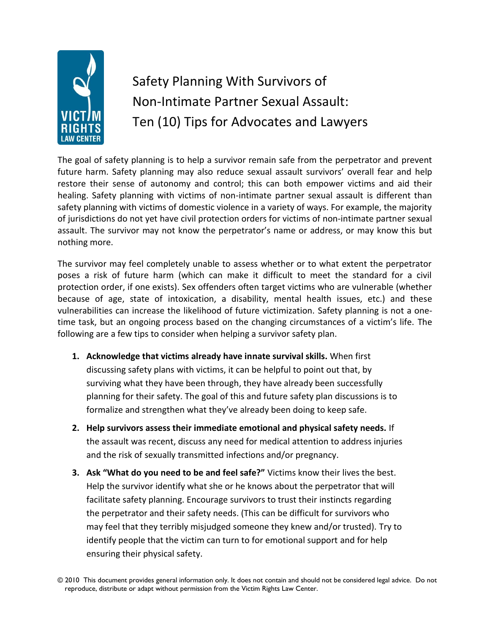

## Safety Planning With Survivors of Non-Intimate Partner Sexual Assault: Ten (10) Tips for Advocates and Lawyers

The goal of safety planning is to help a survivor remain safe from the perpetrator and prevent future harm. Safety planning may also reduce sexual assault survivors' overall fear and help restore their sense of autonomy and control; this can both empower victims and aid their healing. Safety planning with victims of non-intimate partner sexual assault is different than safety planning with victims of domestic violence in a variety of ways. For example, the majority of jurisdictions do not yet have civil protection orders for victims of non-intimate partner sexual assault. The survivor may not know the perpetrator's name or address, or may know this but nothing more.

The survivor may feel completely unable to assess whether or to what extent the perpetrator poses a risk of future harm (which can make it difficult to meet the standard for a civil protection order, if one exists). Sex offenders often target victims who are vulnerable (whether because of age, state of intoxication, a disability, mental health issues, etc.) and these vulnerabilities can increase the likelihood of future victimization. Safety planning is not a onetime task, but an ongoing process based on the changing circumstances of a victim's life. The following are a few tips to consider when helping a survivor safety plan.

- **1. Acknowledge that victims already have innate survival skills.** When first discussing safety plans with victims, it can be helpful to point out that, by surviving what they have been through, they have already been successfully planning for their safety. The goal of this and future safety plan discussions is to formalize and strengthen what they've already been doing to keep safe.
- **2. Help survivors assess their immediate emotional and physical safety needs.** If the assault was recent, discuss any need for medical attention to address injuries and the risk of sexually transmitted infections and/or pregnancy.
- **3. Ask "What do you need to be and feel safe?"** Victims know their lives the best. Help the survivor identify what she or he knows about the perpetrator that will facilitate safety planning. Encourage survivors to trust their instincts regarding the perpetrator and their safety needs. (This can be difficult for survivors who may feel that they terribly misjudged someone they knew and/or trusted). Try to identify people that the victim can turn to for emotional support and for help ensuring their physical safety.

<sup>© 2010</sup> This document provides general information only. It does not contain and should not be considered legal advice. Do not reproduce, distribute or adapt without permission from the Victim Rights Law Center.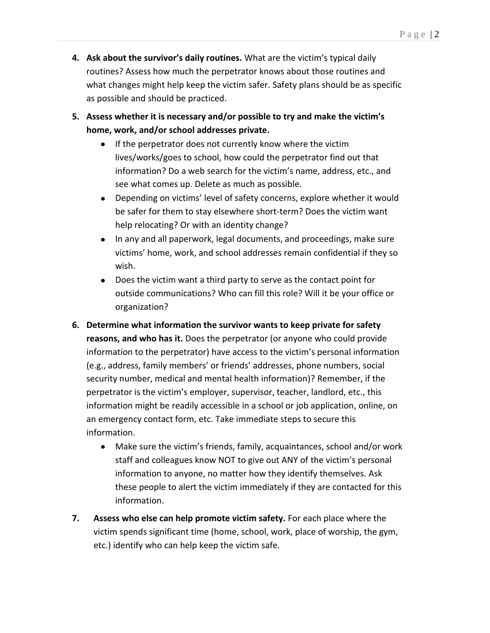- **4. Ask about the survivor's daily routines.** What are the victim's typical daily routines? Assess how much the perpetrator knows about those routines and what changes might help keep the victim safer. Safety plans should be as specific as possible and should be practiced.
- **5. Assess whether it is necessary and/or possible to try and make the victim's home, work, and/or school addresses private.**
	- $\bullet$ If the perpetrator does not currently know where the victim lives/works/goes to school, how could the perpetrator find out that information? Do a web search for the victim's name, address, etc., and see what comes up. Delete as much as possible.
	- Depending on victims' level of safety concerns, explore whether it would be safer for them to stay elsewhere short-term? Does the victim want help relocating? Or with an identity change?
	- In any and all paperwork, legal documents, and proceedings, make sure  $\bullet$ victims' home, work, and school addresses remain confidential if they so wish.
	- Does the victim want a third party to serve as the contact point for outside communications? Who can fill this role? Will it be your office or organization?
- **6. Determine what information the survivor wants to keep private for safety reasons, and who has it.** Does the perpetrator (or anyone who could provide information to the perpetrator) have access to the victim's personal information (e.g., address, family members' or friends' addresses, phone numbers, social security number, medical and mental health information)? Remember, if the perpetrator is the victim's employer, supervisor, teacher, landlord, etc., this information might be readily accessible in a school or job application, online, on an emergency contact form, etc. Take immediate steps to secure this information.
	- $\bullet$ Make sure the victim's friends, family, acquaintances, school and/or work staff and colleagues know NOT to give out ANY of the victim's personal information to anyone, no matter how they identify themselves. Ask these people to alert the victim immediately if they are contacted for this information.
- **7. Assess who else can help promote victim safety.** For each place where the victim spends significant time (home, school, work, place of worship, the gym, etc.) identify who can help keep the victim safe.